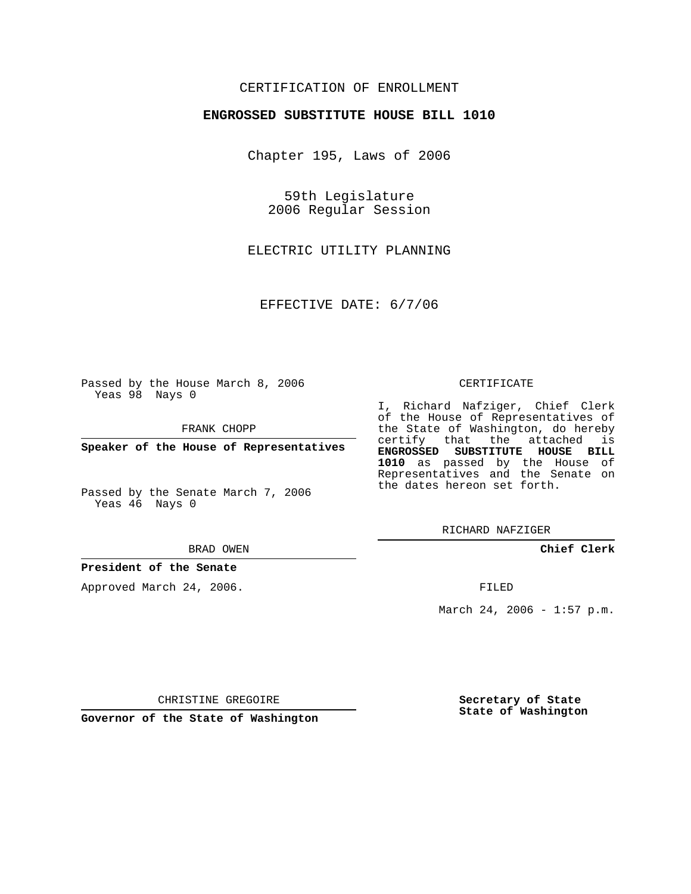# CERTIFICATION OF ENROLLMENT

### **ENGROSSED SUBSTITUTE HOUSE BILL 1010**

Chapter 195, Laws of 2006

59th Legislature 2006 Regular Session

ELECTRIC UTILITY PLANNING

EFFECTIVE DATE: 6/7/06

Passed by the House March 8, 2006 Yeas 98 Nays 0

FRANK CHOPP

**Speaker of the House of Representatives**

Passed by the Senate March 7, 2006 Yeas 46 Nays 0

#### BRAD OWEN

## **President of the Senate**

Approved March 24, 2006.

#### CERTIFICATE

I, Richard Nafziger, Chief Clerk of the House of Representatives of the State of Washington, do hereby certify that the attached is **ENGROSSED SUBSTITUTE HOUSE BILL 1010** as passed by the House of Representatives and the Senate on the dates hereon set forth.

RICHARD NAFZIGER

**Chief Clerk**

FILED

March 24, 2006 -  $1:57$  p.m.

CHRISTINE GREGOIRE

**Governor of the State of Washington**

**Secretary of State State of Washington**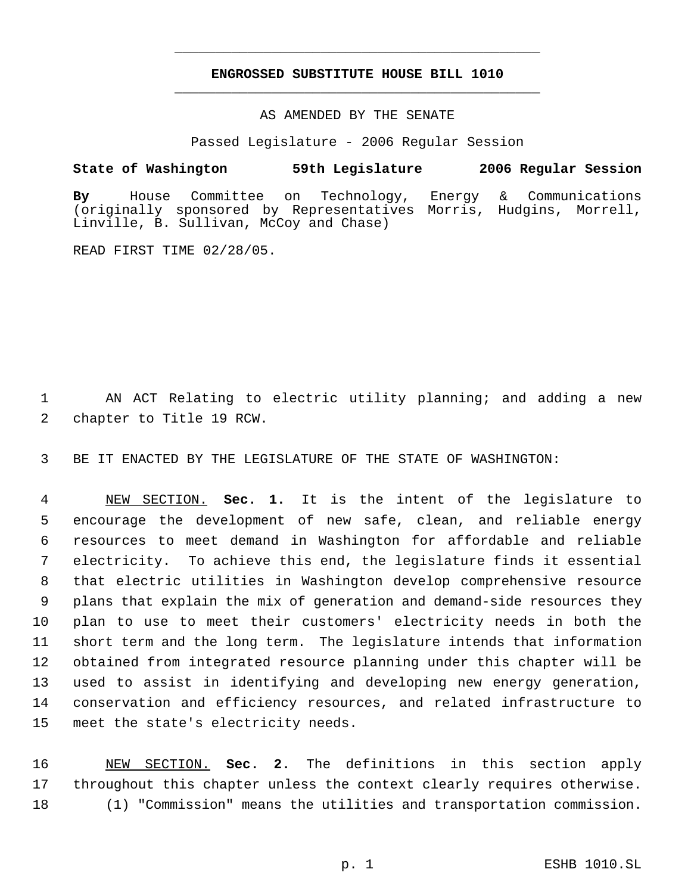# **ENGROSSED SUBSTITUTE HOUSE BILL 1010** \_\_\_\_\_\_\_\_\_\_\_\_\_\_\_\_\_\_\_\_\_\_\_\_\_\_\_\_\_\_\_\_\_\_\_\_\_\_\_\_\_\_\_\_\_

\_\_\_\_\_\_\_\_\_\_\_\_\_\_\_\_\_\_\_\_\_\_\_\_\_\_\_\_\_\_\_\_\_\_\_\_\_\_\_\_\_\_\_\_\_

### AS AMENDED BY THE SENATE

Passed Legislature - 2006 Regular Session

## **State of Washington 59th Legislature 2006 Regular Session**

**By** House Committee on Technology, Energy & Communications (originally sponsored by Representatives Morris, Hudgins, Morrell, Linville, B. Sullivan, McCoy and Chase)

READ FIRST TIME 02/28/05.

 AN ACT Relating to electric utility planning; and adding a new chapter to Title 19 RCW.

BE IT ENACTED BY THE LEGISLATURE OF THE STATE OF WASHINGTON:

 NEW SECTION. **Sec. 1.** It is the intent of the legislature to encourage the development of new safe, clean, and reliable energy resources to meet demand in Washington for affordable and reliable electricity. To achieve this end, the legislature finds it essential that electric utilities in Washington develop comprehensive resource plans that explain the mix of generation and demand-side resources they plan to use to meet their customers' electricity needs in both the short term and the long term. The legislature intends that information obtained from integrated resource planning under this chapter will be used to assist in identifying and developing new energy generation, conservation and efficiency resources, and related infrastructure to meet the state's electricity needs.

 NEW SECTION. **Sec. 2.** The definitions in this section apply throughout this chapter unless the context clearly requires otherwise. (1) "Commission" means the utilities and transportation commission.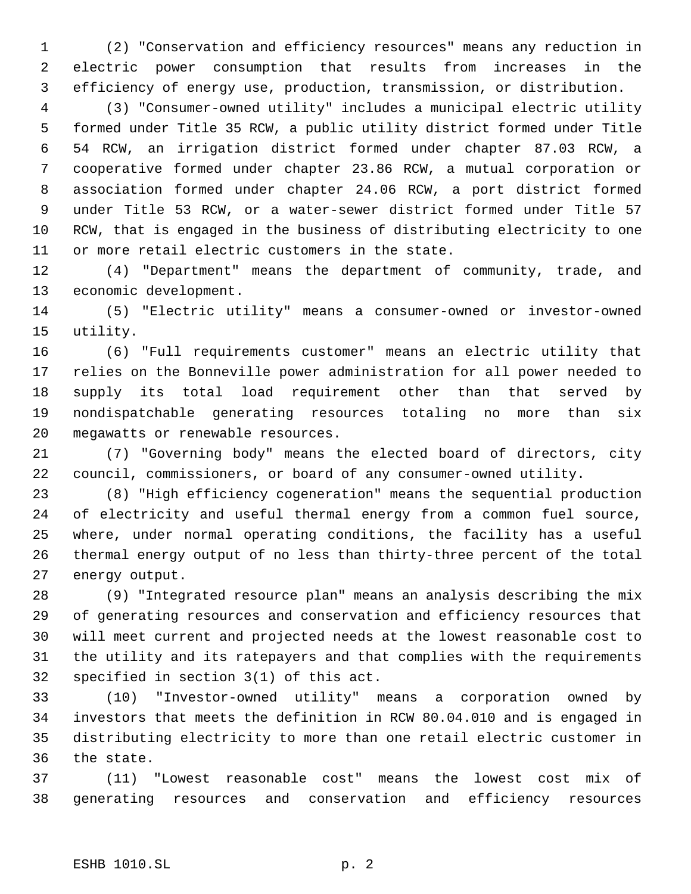(2) "Conservation and efficiency resources" means any reduction in electric power consumption that results from increases in the efficiency of energy use, production, transmission, or distribution.

 (3) "Consumer-owned utility" includes a municipal electric utility formed under Title 35 RCW, a public utility district formed under Title 54 RCW, an irrigation district formed under chapter 87.03 RCW, a cooperative formed under chapter 23.86 RCW, a mutual corporation or association formed under chapter 24.06 RCW, a port district formed under Title 53 RCW, or a water-sewer district formed under Title 57 RCW, that is engaged in the business of distributing electricity to one or more retail electric customers in the state.

 (4) "Department" means the department of community, trade, and economic development.

 (5) "Electric utility" means a consumer-owned or investor-owned utility.

 (6) "Full requirements customer" means an electric utility that relies on the Bonneville power administration for all power needed to supply its total load requirement other than that served by nondispatchable generating resources totaling no more than six megawatts or renewable resources.

 (7) "Governing body" means the elected board of directors, city council, commissioners, or board of any consumer-owned utility.

 (8) "High efficiency cogeneration" means the sequential production of electricity and useful thermal energy from a common fuel source, where, under normal operating conditions, the facility has a useful thermal energy output of no less than thirty-three percent of the total energy output.

 (9) "Integrated resource plan" means an analysis describing the mix of generating resources and conservation and efficiency resources that will meet current and projected needs at the lowest reasonable cost to the utility and its ratepayers and that complies with the requirements specified in section 3(1) of this act.

 (10) "Investor-owned utility" means a corporation owned by investors that meets the definition in RCW 80.04.010 and is engaged in distributing electricity to more than one retail electric customer in the state.

 (11) "Lowest reasonable cost" means the lowest cost mix of generating resources and conservation and efficiency resources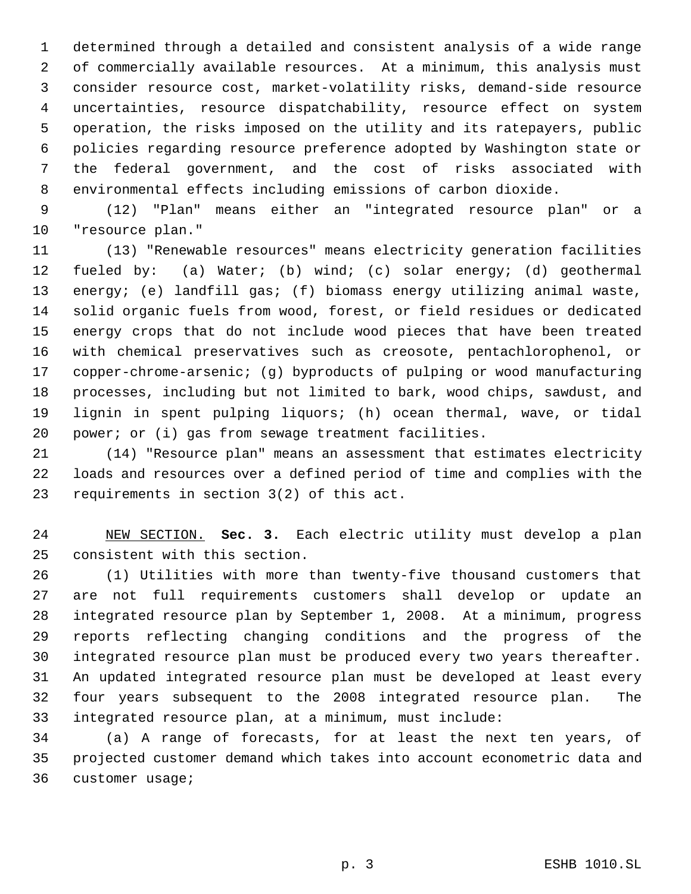determined through a detailed and consistent analysis of a wide range of commercially available resources. At a minimum, this analysis must consider resource cost, market-volatility risks, demand-side resource uncertainties, resource dispatchability, resource effect on system operation, the risks imposed on the utility and its ratepayers, public policies regarding resource preference adopted by Washington state or the federal government, and the cost of risks associated with environmental effects including emissions of carbon dioxide.

 (12) "Plan" means either an "integrated resource plan" or a "resource plan."

 (13) "Renewable resources" means electricity generation facilities fueled by: (a) Water; (b) wind; (c) solar energy; (d) geothermal energy; (e) landfill gas; (f) biomass energy utilizing animal waste, solid organic fuels from wood, forest, or field residues or dedicated energy crops that do not include wood pieces that have been treated with chemical preservatives such as creosote, pentachlorophenol, or copper-chrome-arsenic; (g) byproducts of pulping or wood manufacturing processes, including but not limited to bark, wood chips, sawdust, and lignin in spent pulping liquors; (h) ocean thermal, wave, or tidal 20 power; or (i) gas from sewage treatment facilities.

 (14) "Resource plan" means an assessment that estimates electricity loads and resources over a defined period of time and complies with the requirements in section 3(2) of this act.

 NEW SECTION. **Sec. 3.** Each electric utility must develop a plan consistent with this section.

 (1) Utilities with more than twenty-five thousand customers that are not full requirements customers shall develop or update an integrated resource plan by September 1, 2008. At a minimum, progress reports reflecting changing conditions and the progress of the integrated resource plan must be produced every two years thereafter. An updated integrated resource plan must be developed at least every four years subsequent to the 2008 integrated resource plan. The integrated resource plan, at a minimum, must include:

 (a) A range of forecasts, for at least the next ten years, of projected customer demand which takes into account econometric data and customer usage;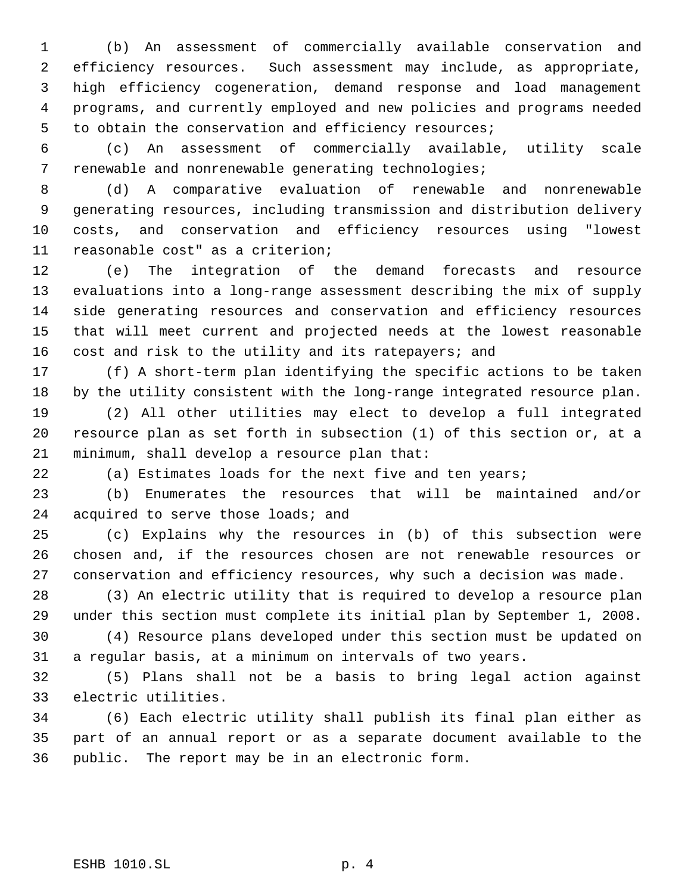(b) An assessment of commercially available conservation and efficiency resources. Such assessment may include, as appropriate, high efficiency cogeneration, demand response and load management programs, and currently employed and new policies and programs needed to obtain the conservation and efficiency resources;

 (c) An assessment of commercially available, utility scale renewable and nonrenewable generating technologies;

 (d) A comparative evaluation of renewable and nonrenewable generating resources, including transmission and distribution delivery costs, and conservation and efficiency resources using "lowest reasonable cost" as a criterion;

 (e) The integration of the demand forecasts and resource evaluations into a long-range assessment describing the mix of supply side generating resources and conservation and efficiency resources that will meet current and projected needs at the lowest reasonable cost and risk to the utility and its ratepayers; and

 (f) A short-term plan identifying the specific actions to be taken by the utility consistent with the long-range integrated resource plan.

 (2) All other utilities may elect to develop a full integrated resource plan as set forth in subsection (1) of this section or, at a minimum, shall develop a resource plan that:

(a) Estimates loads for the next five and ten years;

 (b) Enumerates the resources that will be maintained and/or 24 acquired to serve those loads; and

 (c) Explains why the resources in (b) of this subsection were chosen and, if the resources chosen are not renewable resources or conservation and efficiency resources, why such a decision was made.

 (3) An electric utility that is required to develop a resource plan under this section must complete its initial plan by September 1, 2008.

 (4) Resource plans developed under this section must be updated on a regular basis, at a minimum on intervals of two years.

 (5) Plans shall not be a basis to bring legal action against electric utilities.

 (6) Each electric utility shall publish its final plan either as part of an annual report or as a separate document available to the public. The report may be in an electronic form.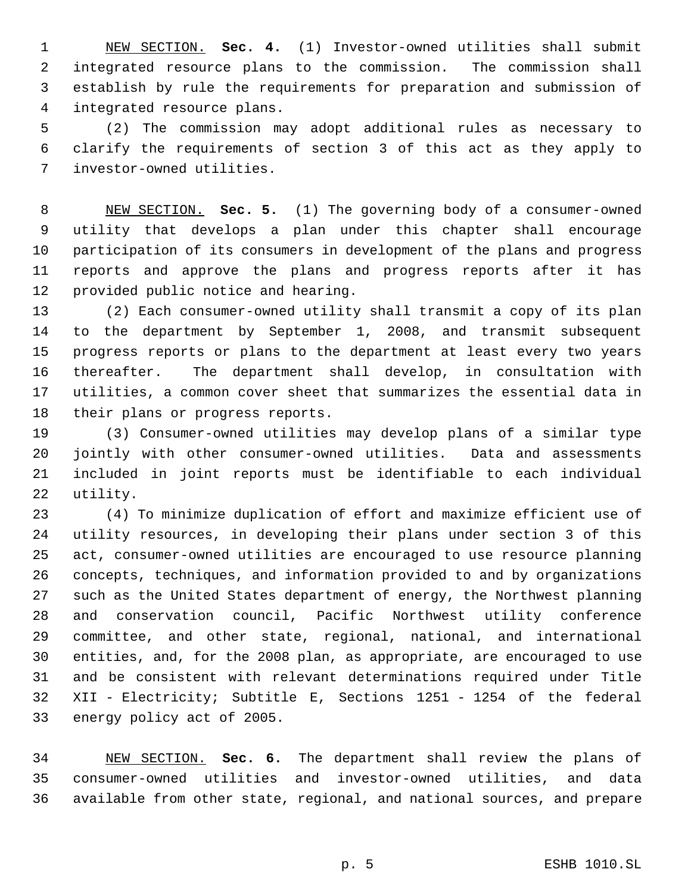NEW SECTION. **Sec. 4.** (1) Investor-owned utilities shall submit integrated resource plans to the commission. The commission shall establish by rule the requirements for preparation and submission of integrated resource plans.

 (2) The commission may adopt additional rules as necessary to clarify the requirements of section 3 of this act as they apply to investor-owned utilities.

 NEW SECTION. **Sec. 5.** (1) The governing body of a consumer-owned utility that develops a plan under this chapter shall encourage participation of its consumers in development of the plans and progress reports and approve the plans and progress reports after it has provided public notice and hearing.

 (2) Each consumer-owned utility shall transmit a copy of its plan to the department by September 1, 2008, and transmit subsequent progress reports or plans to the department at least every two years thereafter. The department shall develop, in consultation with utilities, a common cover sheet that summarizes the essential data in their plans or progress reports.

 (3) Consumer-owned utilities may develop plans of a similar type jointly with other consumer-owned utilities. Data and assessments included in joint reports must be identifiable to each individual utility.

 (4) To minimize duplication of effort and maximize efficient use of utility resources, in developing their plans under section 3 of this act, consumer-owned utilities are encouraged to use resource planning concepts, techniques, and information provided to and by organizations such as the United States department of energy, the Northwest planning and conservation council, Pacific Northwest utility conference committee, and other state, regional, national, and international entities, and, for the 2008 plan, as appropriate, are encouraged to use and be consistent with relevant determinations required under Title XII - Electricity; Subtitle E, Sections 1251 - 1254 of the federal energy policy act of 2005.

 NEW SECTION. **Sec. 6.** The department shall review the plans of consumer-owned utilities and investor-owned utilities, and data available from other state, regional, and national sources, and prepare